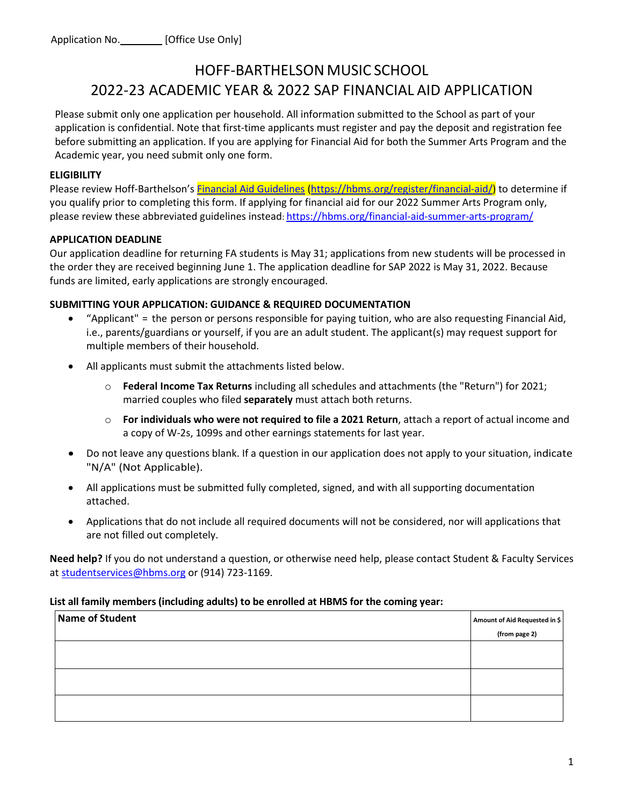# HOFF-BARTHELSON MUSIC SCHOOL 2022-23 ACADEMIC YEAR & 2022 SAP FINANCIAL AID APPLICATION

Please submit only one application per household. All information submitted to the School as part of your application is confidential. Note that first-time applicants must register and pay the deposit and registration fee before submitting an application. If you are applying for Financial Aid for both the Summer Arts Program and the Academic year, you need submit only one form.

#### **ELIGIBILITY**

Please review Hoff-Barthelson's **Financial Aid Guidelines (https://hbms.org/register/financial-aid/)** to determine if you qualify prior to completing this form. If applying for financial aid for our 2022 Summer Arts Program only, please review these abbreviated guidelines instead[: https://hbms.org/financial-aid-summer-arts-program/](https://hbms.org/financial-aid-summer-arts-program/)

## **APPLICATION DEADLINE**

Our application deadline for returning FA students is May 31; applications from new students will be processed in the order they are received beginning June 1. The application deadline for SAP 2022 is May 31, 2022. Because funds are limited, early applications are strongly encouraged.

## **SUBMITTING YOUR APPLICATION: GUIDANCE & REQUIRED DOCUMENTATION**

- "Applicant" = the person or persons responsible for paying tuition, who are also requesting Financial Aid, i.e., parents/guardians or yourself, if you are an adult student. The applicant(s) may request support for multiple members of their household.
- All applicants must submit the attachments listed below.
	- o **Federal Income Tax Returns** including all schedules and attachments (the "Return") for 2021; married couples who filed **separately** must attach both returns.
	- o **For individuals who were not required to file a 2021 Return**, attach a report of actual income and a copy of W-2s, 1099s and other earnings statements for last year.
- Do not leave any questions blank. If a question in our application does not apply to your situation, indicate "N/A" (Not Applicable).
- All applications must be submitted fully completed, signed, and with all supporting documentation attached.
- Applications that do not include all required documents will not be considered, nor will applications that are not filled out completely.

**Need help?** If you do not understand a question, or otherwise need help, please contact Student & Faculty Services at [studentservices@hbms.org](mailto:studentservices@hbms.org) or (914) 723-1169.

#### **List all family members (including adults) to be enrolled at HBMS for the coming year:**

| <b>Name of Student</b> | Amount of Aid Requested in \$ |
|------------------------|-------------------------------|
|                        | (from page 2)                 |
|                        |                               |
|                        |                               |
|                        |                               |
|                        |                               |
|                        |                               |
|                        |                               |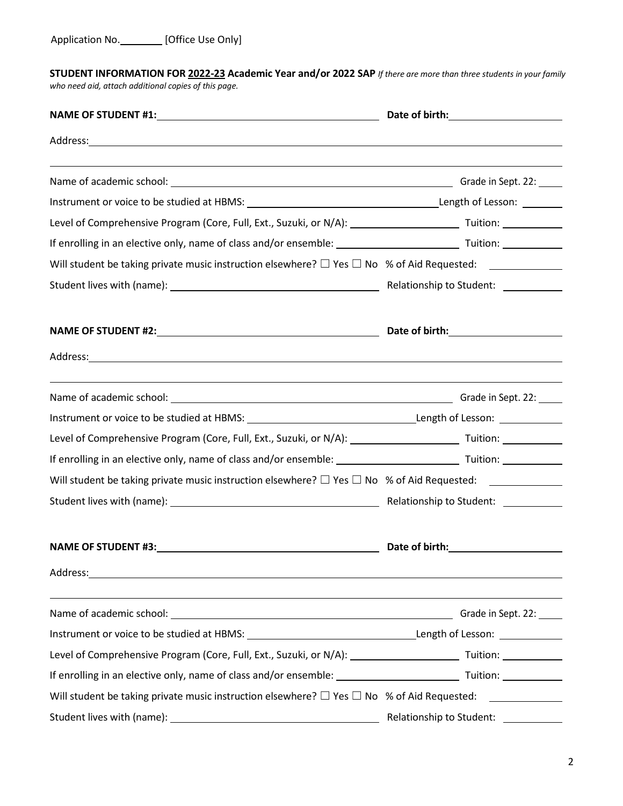**STUDENT INFORMATION FOR 2022-23 Academic Year and/or 2022 SAP** *If there are more than three students in your family who need aid, attach additional copies of this page.*

| Level of Comprehensive Program (Core, Full, Ext., Suzuki, or N/A): _________________________________ Tuition: _______________                                                                                                  |                                      |  |  |
|--------------------------------------------------------------------------------------------------------------------------------------------------------------------------------------------------------------------------------|--------------------------------------|--|--|
|                                                                                                                                                                                                                                |                                      |  |  |
|                                                                                                                                                                                                                                |                                      |  |  |
|                                                                                                                                                                                                                                |                                      |  |  |
|                                                                                                                                                                                                                                |                                      |  |  |
| Address: Address: Address: Address: Address: Address: Address: Address: Address: Address: Address: Address: Address: Address: Address: Address: Address: Address: Address: Address: Address: Address: Address: Address: Addres |                                      |  |  |
| ,我们也不会有什么。""我们的人,我们也不会有什么?""我们的人,我们也不会有什么?""我们的人,我们也不会有什么?""我们的人,我们也不会有什么?""我们的人                                                                                                                                               |                                      |  |  |
|                                                                                                                                                                                                                                |                                      |  |  |
| Level of Comprehensive Program (Core, Full, Ext., Suzuki, or N/A): _________________________________ Tuition: ______________                                                                                                   |                                      |  |  |
|                                                                                                                                                                                                                                |                                      |  |  |
|                                                                                                                                                                                                                                |                                      |  |  |
|                                                                                                                                                                                                                                |                                      |  |  |
|                                                                                                                                                                                                                                |                                      |  |  |
|                                                                                                                                                                                                                                |                                      |  |  |
| <u> 1989 - Johann Barn, fransk politik (f. 1989)</u>                                                                                                                                                                           |                                      |  |  |
|                                                                                                                                                                                                                                |                                      |  |  |
|                                                                                                                                                                                                                                |                                      |  |  |
|                                                                                                                                                                                                                                |                                      |  |  |
|                                                                                                                                                                                                                                |                                      |  |  |
|                                                                                                                                                                                                                                | Relationship to Student: ___________ |  |  |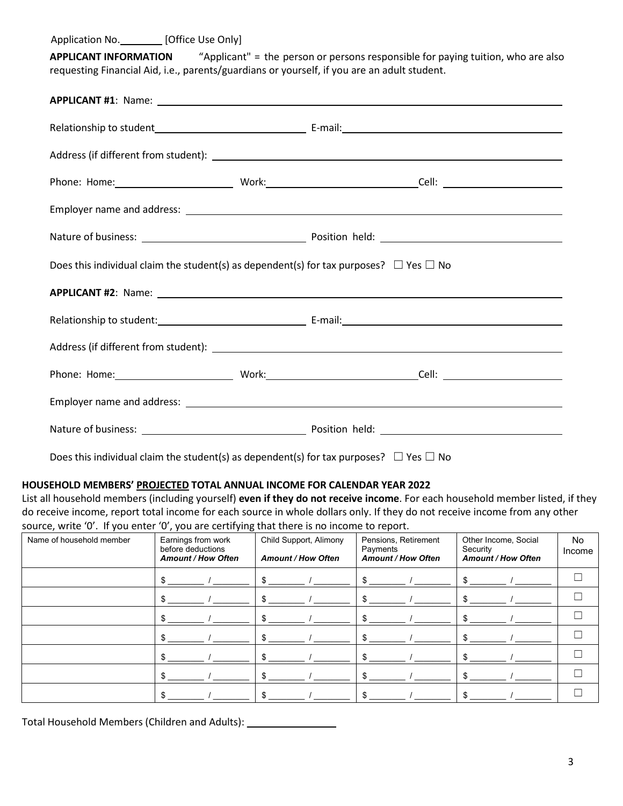Application No. [Office Use Only]

**APPLICANT INFORMATION** "Applicant" = the person or persons responsible for paying tuition, who are also requesting Financial Aid, i.e., parents/guardians or yourself, if you are an adult student.

| Does this individual claim the student(s) as dependent(s) for tax purposes? $\Box$ Yes $\Box$ No |  |  |  |  |
|--------------------------------------------------------------------------------------------------|--|--|--|--|
|                                                                                                  |  |  |  |  |
|                                                                                                  |  |  |  |  |
|                                                                                                  |  |  |  |  |
|                                                                                                  |  |  |  |  |
|                                                                                                  |  |  |  |  |
|                                                                                                  |  |  |  |  |

Does this individual claim the student(s) as dependent(s) for tax purposes?  $\Box$  Yes  $\Box$  No

#### **HOUSEHOLD MEMBERS' PROJECTED TOTAL ANNUAL INCOME FOR CALENDAR YEAR 2022**

List all household members (including yourself) **even if they do not receive income**. For each household member listed, if they do receive income, report total income for each source in whole dollars only. If they do not receive income from any other source, write '0'. If you enter '0', you are certifying that there is no income to report.

| Name of household member | . .<br>$\sim$<br>Earnings from work<br>before deductions<br><b>Amount / How Often</b> | Child Support, Alimony<br><b>Amount / How Often</b> | Pensions, Retirement<br>Payments<br><b>Amount / How Often</b> | Other Income, Social<br>Security<br><b>Amount / How Often</b> | No<br>Income |
|--------------------------|---------------------------------------------------------------------------------------|-----------------------------------------------------|---------------------------------------------------------------|---------------------------------------------------------------|--------------|
|                          | \$                                                                                    |                                                     | \$                                                            |                                                               |              |
|                          |                                                                                       |                                                     |                                                               |                                                               |              |
|                          |                                                                                       |                                                     |                                                               |                                                               |              |
|                          |                                                                                       |                                                     |                                                               |                                                               |              |
|                          |                                                                                       |                                                     |                                                               |                                                               |              |
|                          |                                                                                       |                                                     |                                                               |                                                               |              |
|                          | я                                                                                     |                                                     |                                                               |                                                               |              |

Total Household Members (Children and Adults): \_\_\_\_\_\_\_\_\_\_\_\_\_\_\_\_